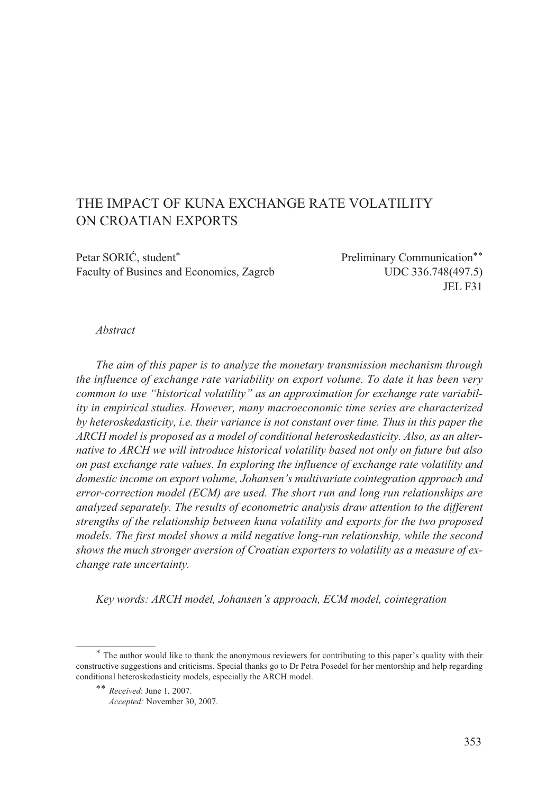# THE IMPACT OF KUNA EXCHANGE RATE VOLATILITY ON CROATIAN EXPORTS

Petar SORIĆ, student<sup>\*</sup> Preliminary Communication<sup>\*\*</sup> Faculty of Busines and Economics, Zagreb UDC 336.748(497.5)

JEL F31

#### *Abstract*

*The aim of this paper is to analyze the monetary transmission mechanism through the influence of exchange rate variability on export volume. To date it has been very common to use "historical volatility" as an approximation for exchange rate variability in empirical studies. However, many macroeconomic time series are characterized by heteroskedasticity, i.e. their variance is not constant over time. Thus in this paper the ARCH model is proposed as a model of conditional heteroskedasticity. Also, as an alternative to ARCH we will introduce historical volatility based not only on future but also on past exchange rate values. In exploring the influence of exchange rate volatility and domestic income on export volume, Johansen's multivariate cointegration approach and error-correction model (ECM) are used. The short run and long run relationships are analyzed separately. The results of econometric analysis draw attention to the different strengths of the relationship between kuna volatility and exports for the two proposed models. The first model shows a mild negative long-run relationship, while the second shows the much stronger aversion of Croatian exporters to volatility as a measure of exchange rate uncertainty.* 

*Key words: ARCH model, Johansen's approach, ECM model, cointegration*

<sup>\*</sup> The author would like to thank the anonymous reviewers for contributing to this paper's quality with their constructive suggestions and criticisms. Special thanks go to Dr Petra Posedel for her mentorship and help regarding conditional heteroskedasticity models, especially the ARCH model.

<sup>\*\*</sup> *Received*: June 1, 2007.

*Accepted:* November 30, 2007.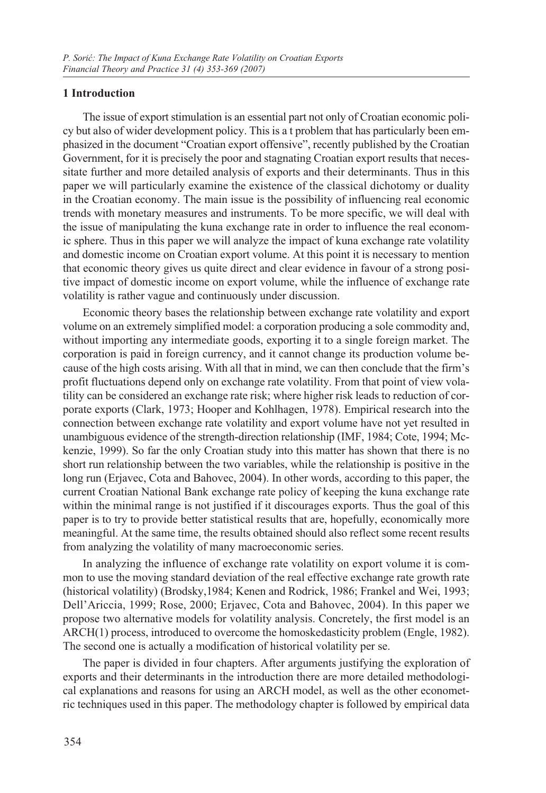## **1 Introduction**

The issue of export stimulation is an essential part not only of Croatian economic policy but also of wider development policy. This is a t problem that has particularly been emphasized in the document "Croatian export offensive", recently published by the Croatian Government, for it is precisely the poor and stagnating Croatian export results that necessitate further and more detailed analysis of exports and their determinants. Thus in this paper we will particularly examine the existence of the classical dichotomy or duality in the Croatian economy. The main issue is the possibility of influencing real economic trends with monetary measures and instruments. To be more specific, we will deal with the issue of manipulating the kuna exchange rate in order to influence the real economic sphere. Thus in this paper we will analyze the impact of kuna exchange rate volatility and domestic income on Croatian export volume. At this point it is necessary to mention that economic theory gives us quite direct and clear evidence in favour of a strong positive impact of domestic income on export volume, while the influence of exchange rate volatility is rather vague and continuously under discussion.

Economic theory bases the relationship between exchange rate volatility and export volume on an extremely simplified model: a corporation producing a sole commodity and, without importing any intermediate goods, exporting it to a single foreign market. The corporation is paid in foreign currency, and it cannot change its production volume because of the high costs arising. With all that in mind, we can then conclude that the firm's profit fluctuations depend only on exchange rate volatility. From that point of view volatility can be considered an exchange rate risk; where higher risk leads to reduction of corporate exports (Clark, 1973; Hooper and Kohlhagen, 1978). Empirical research into the connection between exchange rate volatility and export volume have not yet resulted in unambiguous evidence of the strength-direction relationship (IMF, 1984; Cote, 1994; Mckenzie, 1999). So far the only Croatian study into this matter has shown that there is no short run relationship between the two variables, while the relationship is positive in the long run (Erjavec, Cota and Bahovec, 2004). In other words, according to this paper, the current Croatian National Bank exchange rate policy of keeping the kuna exchange rate within the minimal range is not justified if it discourages exports. Thus the goal of this paper is to try to provide better statistical results that are, hopefully, economically more meaningful. At the same time, the results obtained should also reflect some recent results from analyzing the volatility of many macroeconomic series.

In analyzing the influence of exchange rate volatility on export volume it is common to use the moving standard deviation of the real effective exchange rate growth rate (historical volatility) (Brodsky,1984; Kenen and Rodrick, 1986; Frankel and Wei, 1993; Dell'Ariccia, 1999; Rose, 2000; Erjavec, Cota and Bahovec, 2004). In this paper we propose two alternative models for volatility analysis. Concretely, the first model is an ARCH(1) process, introduced to overcome the homoskedasticity problem (Engle, 1982). The second one is actually a modification of historical volatility per se.

The paper is divided in four chapters. After arguments justifying the exploration of exports and their determinants in the introduction there are more detailed methodological explanations and reasons for using an ARCH model, as well as the other econometric techniques used in this paper. The methodology chapter is followed by empirical data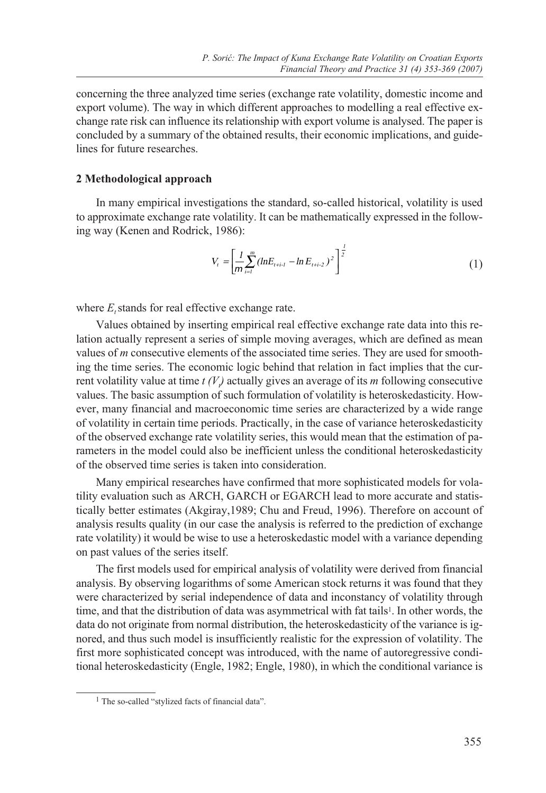concerning the three analyzed time series (exchange rate volatility, domestic income and export volume). The way in which different approaches to modelling a real effective exchange rate risk can influence its relationship with export volume is analysed. The paper is concluded by a summary of the obtained results, their economic implications, and guidelines for future researches.

#### **2 Methodological approach**

In many empirical investigations the standard, so-called historical, volatility is used to approximate exchange rate volatility. It can be mathematically expressed in the following way (Kenen and Rodrick, 1986):

$$
V_{t} = \left[\frac{1}{m} \sum_{i=1}^{m} (lnE_{t+i-1} - ln E_{t+i-2})^{2}\right]^{\frac{1}{2}}
$$
(1)

where  $E_t$  stands for real effective exchange rate.

Values obtained by inserting empirical real effective exchange rate data into this relation actually represent a series of simple moving averages, which are defined as mean values of *m* consecutive elements of the associated time series. They are used for smoothing the time series. The economic logic behind that relation in fact implies that the current volatility value at time  $t(V_t)$  actually gives an average of its *m* following consecutive values. The basic assumption of such formulation of volatility is heteroskedasticity. However, many financial and macroeconomic time series are characterized by a wide range of volatility in certain time periods. Practically, in the case of variance heteroskedasticity of the observed exchange rate volatility series, this would mean that the estimation of parameters in the model could also be inefficient unless the conditional heteroskedasticity of the observed time series is taken into consideration.

Many empirical researches have confirmed that more sophisticated models for volatility evaluation such as ARCH, GARCH or EGARCH lead to more accurate and statistically better estimates (Akgiray,1989; Chu and Freud, 1996). Therefore on account of analysis results quality (in our case the analysis is referred to the prediction of exchange rate volatility) it would be wise to use a heteroskedastic model with a variance depending on past values of the series itself.

The first models used for empirical analysis of volatility were derived from financial analysis. By observing logarithms of some American stock returns it was found that they were characterized by serial independence of data and inconstancy of volatility through time, and that the distribution of data was asymmetrical with fat tails<sup>1</sup>. In other words, the data do not originate from normal distribution, the heteroskedasticity of the variance is ignored, and thus such model is insufficiently realistic for the expression of volatility. The first more sophisticated concept was introduced, with the name of autoregressive conditional heteroskedasticity (Engle, 1982; Engle, 1980), in which the conditional variance is

<sup>&</sup>lt;sup>1</sup> The so-called "stylized facts of financial data".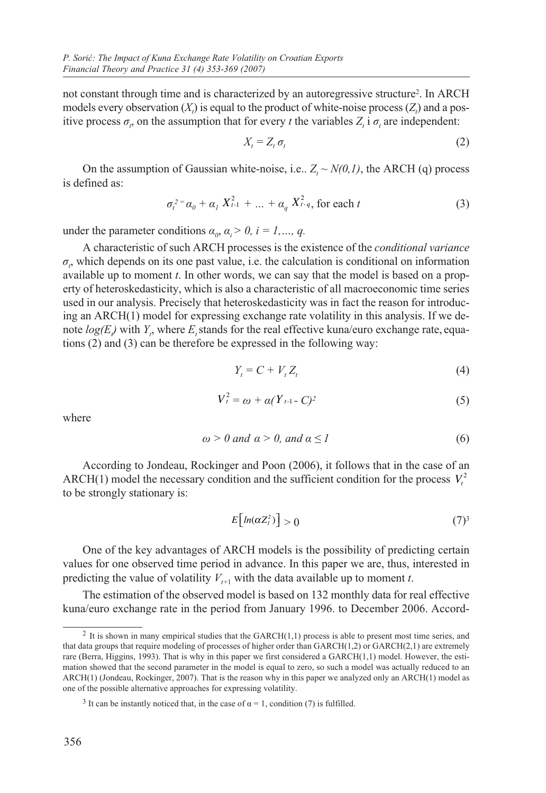not constant through time and is characterized by an autoregressive structure2. In ARCH models every observation  $(X_t)$  is equal to the product of white-noise process  $(Z_t)$  and a positive process  $\sigma_r$ , on the assumption that for every *t* the variables  $Z_t$  i  $\sigma_t$  are independent:

$$
X_t = Z_t \sigma_t \tag{2}
$$

On the assumption of Gaussian white-noise, i.e.,  $Z_t \sim N(0,1)$ , the ARCH (q) process is defined as:

$$
\sigma_t^{2} = \alpha_0 + \alpha_1 X_{t-1}^2 + \dots + \alpha_q X_{t-q}^2, \text{ for each } t
$$
 (3)

under the parameter conditions  $\alpha_{0}$ ,  $\alpha_{i} > 0$ ,  $i = 1, ..., q$ .

A characteristic of such ARCH processes is the existence of the *conditional variance*  $\sigma$ , which depends on its one past value, i.e. the calculation is conditional on information available up to moment *t*. In other words, we can say that the model is based on a property of heteroskedasticity, which is also a characteristic of all macroeconomic time series used in our analysis. Precisely that heteroskedasticity was in fact the reason for introducing an ARCH(1) model for expressing exchange rate volatility in this analysis. If we denote  $log(E)$  with  $Y_t$ , where  $E_t$  stands for the real effective kuna/euro exchange rate, equations (2) and (3) can be therefore be expressed in the following way:

$$
Y_t = C + V_t Z_t \tag{4}
$$

$$
V_t^2 = \omega + \alpha (Y_{t-1} - C)^2 \tag{5}
$$

where

$$
\omega > 0 \text{ and } \alpha > 0, \text{ and } \alpha \le 1 \tag{6}
$$

According to Jondeau, Rockinger and Poon (2006), it follows that in the case of an ARCH(1) model the necessary condition and the sufficient condition for the process  $V_t^2$ to be strongly stationary is:

$$
E\big[\ln(\alpha Z_i^2)\big] > 0\tag{7}
$$

One of the key advantages of ARCH models is the possibility of predicting certain values for one observed time period in advance. In this paper we are, thus, interested in predicting the value of volatility  $V_{t+1}$  with the data available up to moment *t*.

The estimation of the observed model is based on 132 monthly data for real effective kuna/euro exchange rate in the period from January 1996. to December 2006. Accord-

 $2$  It is shown in many empirical studies that the GARCH $(1,1)$  process is able to present most time series, and that data groups that require modeling of processes of higher order than GARCH(1,2) or GARCH(2,1) are extremely rare (Berra, Higgins, 1993). That is why in this paper we first considered a GARCH(1,1) model. However, the estimation showed that the second parameter in the model is equal to zero, so such a model was actually reduced to an ARCH(1) (Jondeau, Rockinger, 2007). That is the reason why in this paper we analyzed only an ARCH(1) model as one of the possible alternative approaches for expressing volatility.

<sup>&</sup>lt;sup>3</sup> It can be instantly noticed that, in the case of  $\alpha = 1$ , condition (7) is fulfilled.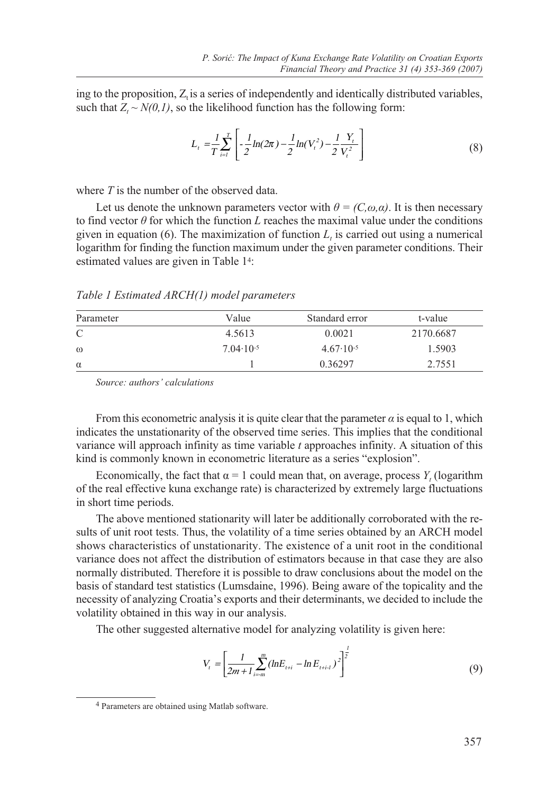ing to the proposition,  $Z_t$  is a series of independently and identically distributed variables, such that  $Z_t \sim N(0,1)$ , so the likelihood function has the following form:

$$
L_{t} = \frac{1}{T} \sum_{i=1}^{T} \left[ -\frac{1}{2} \ln(2\pi) - \frac{1}{2} \ln(V_{t}^{2}) - \frac{1}{2} \frac{Y_{t}}{V_{t}^{2}} \right]
$$
(8)

where *T* is the number of the observed data.

Let us denote the unknown parameters vector with  $\theta = (C, \omega, \alpha)$ . It is then necessary to find vector  $\theta$  for which the function *L* reaches the maximal value under the conditions given in equation (6). The maximization of function  $L<sub>t</sub>$  is carried out using a numerical logarithm for finding the function maximum under the given parameter conditions. Their estimated values are given in Table 14:

*Table 1 Estimated ARCH(1) model parameters*

| Parameter | Value                | Standard error       | t-value   |
|-----------|----------------------|----------------------|-----------|
| C         | 4.5613               | 0.0021               | 2170.6687 |
| $\omega$  | $7.04 \cdot 10^{-5}$ | $4.67 \cdot 10^{-5}$ | 1.5903    |
| $\alpha$  |                      | 0.36297              | 2.7551    |

*Source: authors' calculations*

From this econometric analysis it is quite clear that the parameter  $\alpha$  is equal to 1, which indicates the unstationarity of the observed time series. This implies that the conditional variance will approach infinity as time variable *t* approaches infinity. A situation of this kind is commonly known in econometric literature as a series "explosion".

Economically, the fact that  $\alpha = 1$  could mean that, on average, process  $Y_t$  (logarithm of the real effective kuna exchange rate) is characterized by extremely large fluctuations in short time periods.

The above mentioned stationarity will later be additionally corroborated with the results of unit root tests. Thus, the volatility of a time series obtained by an ARCH model shows characteristics of unstationarity. The existence of a unit root in the conditional variance does not affect the distribution of estimators because in that case they are also normally distributed. Therefore it is possible to draw conclusions about the model on the basis of standard test statistics (Lumsdaine, 1996). Being aware of the topicality and the necessity of analyzing Croatia's exports and their determinants, we decided to include the volatility obtained in this way in our analysis.

The other suggested alternative model for analyzing volatility is given here:

$$
V_{t} = \left[\frac{1}{2m+1} \sum_{i=m}^{m} (lnE_{t+i} - ln E_{t+i})^{2}\right]^{\frac{1}{2}}
$$
(9)

<sup>4</sup> Parameters are obtained using Matlab software.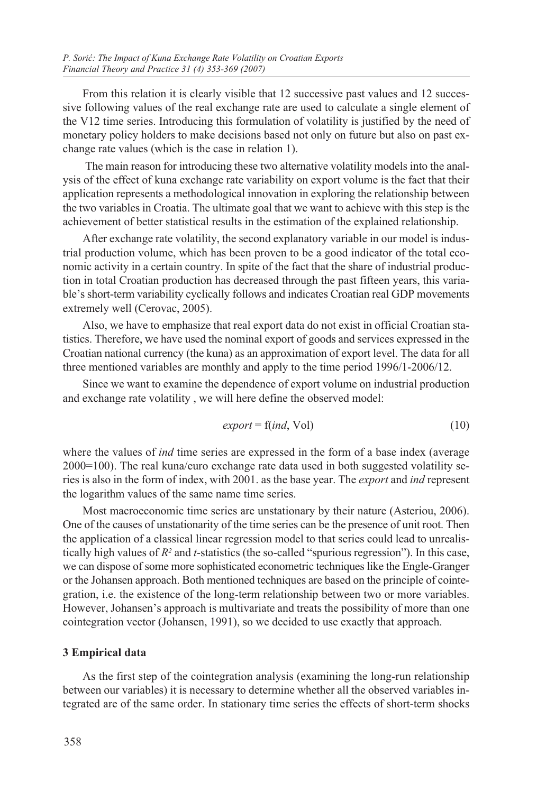From this relation it is clearly visible that 12 successive past values and 12 successive following values of the real exchange rate are used to calculate a single element of the V12 time series. Introducing this formulation of volatility is justified by the need of monetary policy holders to make decisions based not only on future but also on past exchange rate values (which is the case in relation 1).

 The main reason for introducing these two alternative volatility models into the analysis of the effect of kuna exchange rate variability on export volume is the fact that their application represents a methodological innovation in exploring the relationship between the two variables in Croatia. The ultimate goal that we want to achieve with this step is the achievement of better statistical results in the estimation of the explained relationship.

After exchange rate volatility, the second explanatory variable in our model is industrial production volume, which has been proven to be a good indicator of the total economic activity in a certain country. In spite of the fact that the share of industrial production in total Croatian production has decreased through the past fifteen years, this variable's short-term variability cyclically follows and indicates Croatian real GDP movements extremely well (Cerovac, 2005).

Also, we have to emphasize that real export data do not exist in official Croatian statistics. Therefore, we have used the nominal export of goods and services expressed in the Croatian national currency (the kuna) as an approximation of export level. The data for all three mentioned variables are monthly and apply to the time period 1996/1-2006/12.

Since we want to examine the dependence of export volume on industrial production and exchange rate volatility , we will here define the observed model:

$$
export = f(ind, Vol)
$$
\n(10)

where the values of *ind* time series are expressed in the form of a base index (average 2000=100). The real kuna/euro exchange rate data used in both suggested volatility series is also in the form of index, with 2001. as the base year. The *export* and *ind* represent the logarithm values of the same name time series.

Most macroeconomic time series are unstationary by their nature (Asteriou, 2006). One of the causes of unstationarity of the time series can be the presence of unit root. Then the application of a classical linear regression model to that series could lead to unrealistically high values of *R2* and *t*-statistics (the so-called "spurious regression"). In this case, we can dispose of some more sophisticated econometric techniques like the Engle-Granger or the Johansen approach. Both mentioned techniques are based on the principle of cointegration, i.e. the existence of the long-term relationship between two or more variables. However, Johansen's approach is multivariate and treats the possibility of more than one cointegration vector (Johansen, 1991), so we decided to use exactly that approach.

#### **3 Empirical data**

As the first step of the cointegration analysis (examining the long-run relationship between our variables) it is necessary to determine whether all the observed variables integrated are of the same order. In stationary time series the effects of short-term shocks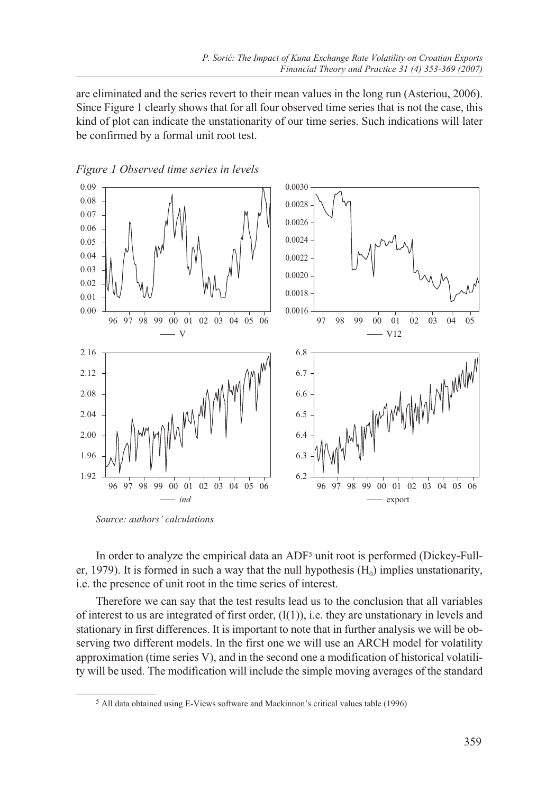are eliminated and the series revert to their mean values in the long run (Asteriou, 2006). Since Figure 1 clearly shows that for all four observed time series that is not the case, this kind of plot can indicate the unstationarity of our time series. Such indications will later be confirmed by a formal unit root test.



*Figure 1 Observed time series in levels* 

In order to analyze the empirical data an ADF<sup>5</sup> unit root is performed (Dickey-Fuller, 1979). It is formed in such a way that the null hypothesis  $(H_0)$  implies unstationarity, i.e. the presence of unit root in the time series of interest.

Therefore we can say that the test results lead us to the conclusion that all variables of interest to us are integrated of first order,  $(I(1))$ , i.e. they are unstationary in levels and stationary in first differences. It is important to note that in further analysis we will be observing two different models. In the first one we will use an ARCH model for volatility approximation (time series V), and in the second one a modification of historical volatility will be used. The modification will include the simple moving averages of the standard

*Source: authors' calculations*

<sup>5</sup> All data obtained using E-Views software and Mackinnon's critical values table (1996)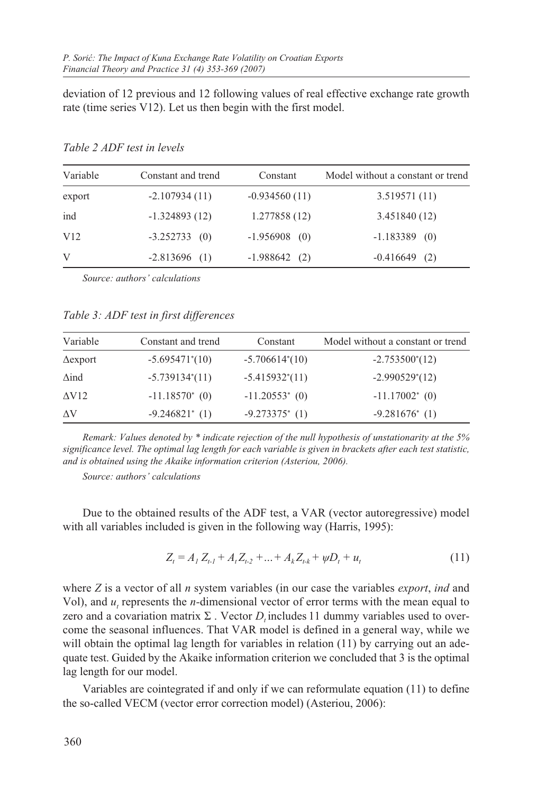deviation of 12 previous and 12 following values of real effective exchange rate growth rate (time series V12). Let us then begin with the first model.

| Variable        | Constant and trend | Constant        | Model without a constant or trend |
|-----------------|--------------------|-----------------|-----------------------------------|
| export          | $-2.107934(11)$    | $-0.934560(11)$ | 3.519571(11)                      |
| ind             | $-1.324893(12)$    | 1.277858 (12)   | 3.451840 (12)                     |
| V <sub>12</sub> | $-3.252733$ (0)    | $-1.956908$ (0) | $-1.183389$ (0)                   |
| V               | $-2.813696$ (1)    | $-1.988642$ (2) | $-0.416649$<br>(2)                |

*Table 2 ADF test in levels*

*Source: authors' calculations*

*Table 3: ADF test in first differences*

| Variable        | Constant and trend           | Constant                     | Model without a constant or trend |
|-----------------|------------------------------|------------------------------|-----------------------------------|
| $\Delta$ export | $-5.695471*(10)$             | $-5.706614*(10)$             | $-2.753500*(12)$                  |
| $\Delta$ ind    | $-5.739134*(11)$             | $-5.415932*(11)$             | $-2.990529*(12)$                  |
| $\Delta V12$    | $-11.18570^{*}$ (0)          | $-11.20553$ <sup>*</sup> (0) | $-11.17002^*$ (0)                 |
| AV              | $-9.246821$ <sup>*</sup> (1) | $-9.273375$ * (1)            | $-9.281676$ <sup>*</sup> (1)      |

*Remark: Values denoted by \* indicate rejection of the null hypothesis of unstationarity at the 5% significance level. The optimal lag length for each variable is given in brackets after each test statistic, and is obtained using the Akaike information criterion (Asteriou, 2006).*

*Source: authors' calculations*

Due to the obtained results of the ADF test, a VAR (vector autoregressive) model with all variables included is given in the following way (Harris, 1995):

$$
Z_{t} = A_{1} Z_{t} + A_{t} Z_{t} + \dots + A_{k} Z_{t} + \psi D_{t} + u_{t}
$$
\n(11)

where *Z* is a vector of all *n* system variables (in our case the variables *export*, *ind* and Vol), and  $u_t$  represents the *n*-dimensional vector of error terms with the mean equal to zero and a covariation matrix  $\Sigma$ . Vector  $D_t$  includes 11 dummy variables used to overcome the seasonal influences. That VAR model is defined in a general way, while we will obtain the optimal lag length for variables in relation (11) by carrying out an adequate test. Guided by the Akaike information criterion we concluded that 3 is the optimal lag length for our model.

Variables are cointegrated if and only if we can reformulate equation (11) to define the so-called VECM (vector error correction model) (Asteriou, 2006):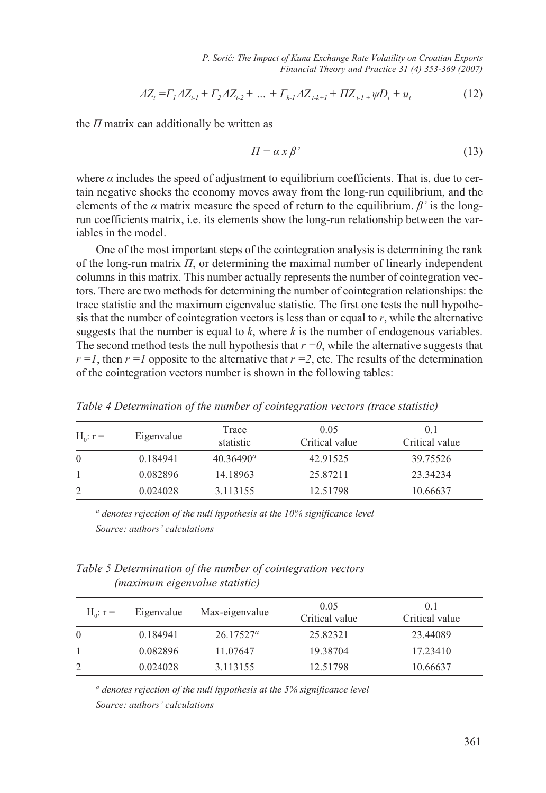$$
\Delta Z_t = \Gamma_1 \Delta Z_{t-1} + \Gamma_2 \Delta Z_{t-2} + \dots + \Gamma_{k-1} \Delta Z_{t-k+1} + \Pi Z_{t-1} + \psi D_t + u_t \tag{12}
$$

the *Π* matrix can additionally be written as

$$
\Pi = \alpha \, x \, \beta' \tag{13}
$$

where  $\alpha$  includes the speed of adjustment to equilibrium coefficients. That is, due to certain negative shocks the economy moves away from the long-run equilibrium, and the elements of the  $\alpha$  matrix measure the speed of return to the equilibrium.  $\beta'$  is the longrun coefficients matrix, i.e. its elements show the long-run relationship between the variables in the model.

One of the most important steps of the cointegration analysis is determining the rank of the long-run matrix *Π*, or determining the maximal number of linearly independent columns in this matrix. This number actually represents the number of cointegration vectors. There are two methods for determining the number of cointegration relationships: the trace statistic and the maximum eigenvalue statistic. The first one tests the null hypothesis that the number of cointegration vectors is less than or equal to  $r$ , while the alternative suggests that the number is equal to  $k$ , where  $k$  is the number of endogenous variables. The second method tests the null hypothesis that  $r = 0$ , while the alternative suggests that  $r = 1$ , then  $r = 1$  opposite to the alternative that  $r = 2$ , etc. The results of the determination of the cointegration vectors number is shown in the following tables:

| $H_0$ : $r =$ | Eigenvalue | Trace<br>statistic | 0.05<br>Critical value | 0.1<br>Critical value |
|---------------|------------|--------------------|------------------------|-----------------------|
| $\left($      | 0.184941   | $40.36490^a$       | 42.91525               | 39.75526              |
|               | 0.082896   | 14.18963           | 25.87211               | 23.34234              |
|               | 0.024028   | 3.113155           | 12.51798               | 10.66637              |

*Table 4 Determination of the number of cointegration vectors (trace statistic)*

*a denotes rejection of the null hypothesis at the 10% significance level Source: authors' calculations*

*Table 5 Determination of the number of cointegration vectors (maximum eigenvalue statistic)*

| $H_0$ : $r =$ | Eigenvalue | Max-eigenvalue | 0.05<br>Critical value | 0.1<br>Critical value |
|---------------|------------|----------------|------------------------|-----------------------|
| $\Omega$      | 0.184941   | $26.17527^a$   | 25.82321               | 23.44089              |
|               | 0.082896   | 11.07647       | 19.38704               | 17.23410              |
|               | 0.024028   | 3.113155       | 12.51798               | 10.66637              |

*a denotes rejection of the null hypothesis at the 5% significance level Source: authors' calculations*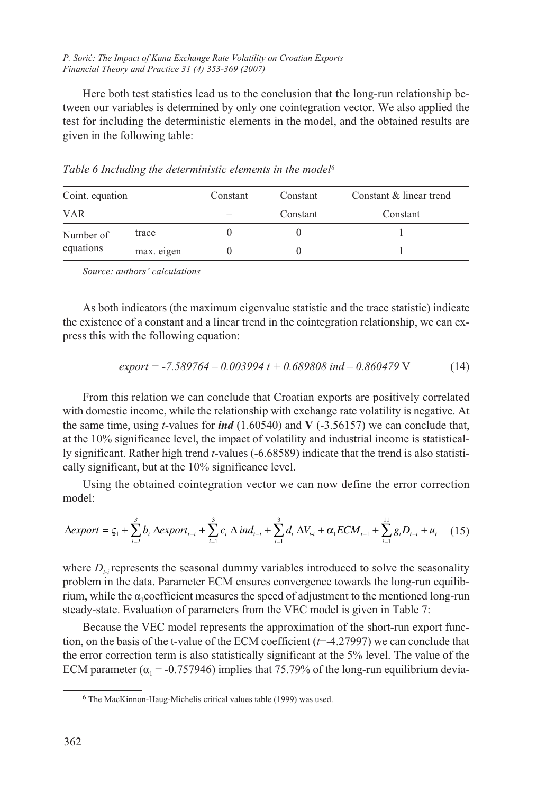Here both test statistics lead us to the conclusion that the long-run relationship between our variables is determined by only one cointegration vector. We also applied the test for including the deterministic elements in the model, and the obtained results are given in the following table:

|  | Table 6 Including the deterministic elements in the model <sup>6</sup> |
|--|------------------------------------------------------------------------|
|  |                                                                        |

| Coint. equation        |            | Constant | Constant | Constant & linear trend |
|------------------------|------------|----------|----------|-------------------------|
| <b>VAR</b>             |            |          | Constant | Constant                |
| Number of<br>equations | trace      |          |          |                         |
|                        | max. eigen |          |          |                         |

*Source: authors' calculations*

As both indicators (the maximum eigenvalue statistic and the trace statistic) indicate the existence of a constant and a linear trend in the cointegration relationship, we can express this with the following equation:

$$
export = -7.589764 - 0.003994 t + 0.689808 \text{ ind} - 0.860479 \text{ V} \tag{14}
$$

From this relation we can conclude that Croatian exports are positively correlated with domestic income, while the relationship with exchange rate volatility is negative. At the same time, using *t*-values for *ind* (1.60540) and **V** (-3.56157) we can conclude that, at the 10% significance level, the impact of volatility and industrial income is statistically significant. Rather high trend *t*-values (-6.68589) indicate that the trend is also statistically significant, but at the 10% significance level.

Using the obtained cointegration vector we can now define the error correction model:

$$
\Delta exponent = \zeta_1 + \sum_{i=1}^{3} b_i \; \Delta export_{t-i} + \sum_{i=1}^{3} c_i \; \Delta \; ind_{t-i} + \sum_{i=1}^{3} d_i \; \Delta V_{t-i} + \alpha_1 ECM_{t-1} + \sum_{i=1}^{11} g_i D_{t-i} + u_t \tag{15}
$$

where  $D_{\mu}$  represents the seasonal dummy variables introduced to solve the seasonality problem in the data. Parameter ECM ensures convergence towards the long-run equilibrium, while the  $\alpha_1$  coefficient measures the speed of adjustment to the mentioned long-run steady-state. Evaluation of parameters from the VEC model is given in Table 7:

Because the VEC model represents the approximation of the short-run export function, on the basis of the t-value of the ECM coefficient (*t*=-4.27997) we can conclude that the error correction term is also statistically significant at the 5% level. The value of the ECM parameter ( $\alpha_1$  = -0.757946) implies that 75.79% of the long-run equilibrium devia-

<sup>6</sup> The MacKinnon-Haug-Michelis critical values table (1999) was used.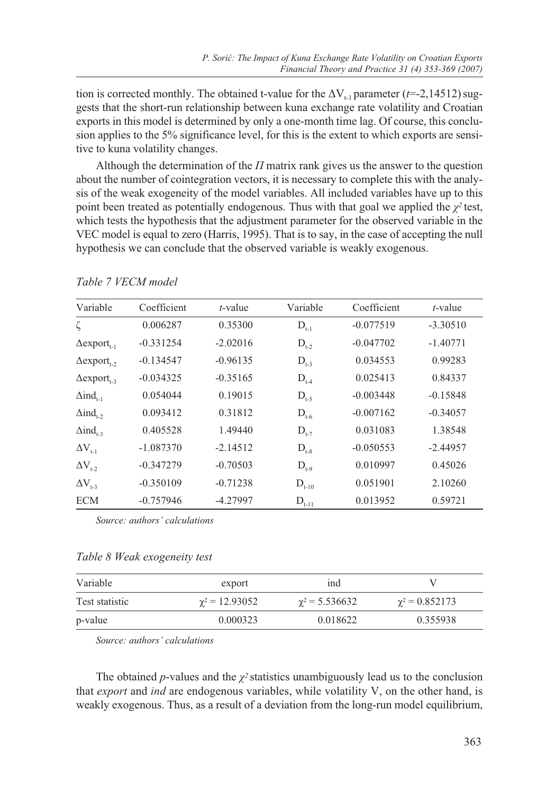tion is corrected monthly. The obtained t-value for the  $\Delta V_{t-1}$  parameter ( $t=2,14512$ ) suggests that the short-run relationship between kuna exchange rate volatility and Croatian exports in this model is determined by only a one-month time lag. Of course, this conclusion applies to the 5% significance level, for this is the extent to which exports are sensitive to kuna volatility changes.

Although the determination of the *Π* matrix rank gives us the answer to the question about the number of cointegration vectors, it is necessary to complete this with the analysis of the weak exogeneity of the model variables. All included variables have up to this point been treated as potentially endogenous. Thus with that goal we applied the  $\chi^2$  test, which tests the hypothesis that the adjustment parameter for the observed variable in the VEC model is equal to zero (Harris, 1995). That is to say, in the case of accepting the null hypothesis we can conclude that the observed variable is weakly exogenous.

| Variable                       | Coefficient | $t$ -value | Variable   | Coefficient | $t$ -value |
|--------------------------------|-------------|------------|------------|-------------|------------|
| ζ                              | 0.006287    | 0.35300    | $D_{t-1}$  | $-0.077519$ | $-3.30510$ |
| $\Delta$ export <sub>t-1</sub> | $-0.331254$ | $-2.02016$ | $D_{t-2}$  | $-0.047702$ | $-1.40771$ |
| $\Delta$ export <sub>t</sub> , | $-0.134547$ | $-0.96135$ | $D_{t-3}$  | 0.034553    | 0.99283    |
| $\Delta$ export, 2             | $-0.034325$ | $-0.35165$ | $D_{t-4}$  | 0.025413    | 0.84337    |
| $\Delta$ ind <sub>t-1</sub>    | 0.054044    | 0.19015    | $D_{t-5}$  | $-0.003448$ | $-0.15848$ |
| $\Delta$ ind <sub>1-2</sub>    | 0.093412    | 0.31812    | $D_{t-6}$  | $-0.007162$ | $-0.34057$ |
| $\Delta$ ind <sub>t-3</sub>    | 0.405528    | 1.49440    | $D_{t-7}$  | 0.031083    | 1.38548    |
| $\Delta V_{t-1}$               | $-1.087370$ | $-2.14512$ | $D_{t-8}$  | $-0.050553$ | $-2.44957$ |
| $\Delta V_{1-2}$               | $-0.347279$ | $-0.70503$ | $D_{t-9}$  | 0.010997    | 0.45026    |
| $\Delta V_{t-3}$               | $-0.350109$ | $-0.71238$ | $D_{t-10}$ | 0.051901    | 2.10260    |
| <b>ECM</b>                     | $-0.757946$ | -4.27997   | $D_{t-11}$ | 0.013952    | 0.59721    |

*Table 7 VECM model*

*Source: authors' calculations*

#### *Table 8 Weak exogeneity test*

| Variable       | export                | ind                   |                     |
|----------------|-----------------------|-----------------------|---------------------|
| Test statistic | $\gamma^2 = 12.93052$ | $\gamma^2$ = 5.536632 | $\chi^2 = 0.852173$ |
| p-value        | 0.000323              | 0.018622              | 0.355938            |

*Source: authors' calculations*

The obtained *p*-values and the  $\chi^2$  statistics unambiguously lead us to the conclusion that *export* and *ind* are endogenous variables, while volatility V, on the other hand, is weakly exogenous. Thus, as a result of a deviation from the long-run model equilibrium,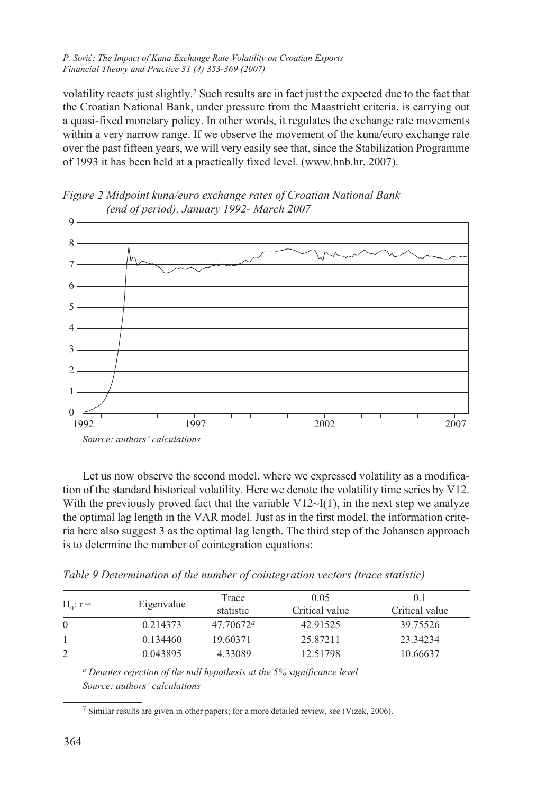volatility reacts just slightly.7 Such results are in fact just the expected due to the fact that the Croatian National Bank, under pressure from the Maastricht criteria, is carrying out a quasi-fixed monetary policy. In other words, it regulates the exchange rate movements within a very narrow range. If we observe the movement of the kuna/euro exchange rate over the past fifteen years, we will very easily see that, since the Stabilization Programme of 1993 it has been held at a practically fixed level. (www.hnb.hr, 2007).

*Figure 2 Midpoint kuna/euro exchange rates of Croatian National Bank (end of period), January 1992- March 2007*



Let us now observe the second model, where we expressed volatility as a modification of the standard historical volatility. Here we denote the volatility time series by V12. With the previously proved fact that the variable  $V12\sim I(1)$ , in the next step we analyze the optimal lag length in the VAR model. Just as in the first model, the information criteria here also suggest 3 as the optimal lag length. The third step of the Johansen approach is to determine the number of cointegration equations:

| .  | . | . | . |
|----|---|---|---|
| T1 | . |   |   |

*Table 9 Determination of the number of cointegration vectors (trace statistic)*

| $H_0$ : $r =$ | Eigenvalue | Trace              | 0.05           | 0.1            |
|---------------|------------|--------------------|----------------|----------------|
|               |            | statistic          | Critical value | Critical value |
| $\Omega$      | 0.214373   | $47.70672^{\circ}$ | 42.91525       | 39.75526       |
|               | 0.134460   | 19.60371           | 25.87211       | 23.34234       |
|               | 0.043895   | 4.33089            | 12.51798       | 10.66637       |
|               |            |                    |                |                |

*a Denotes rejection of the null hypothesis at the 5% significance level Source: authors' calculations*

7 Similar results are given in other papers; for a more detailed review, see (Vizek, 2006).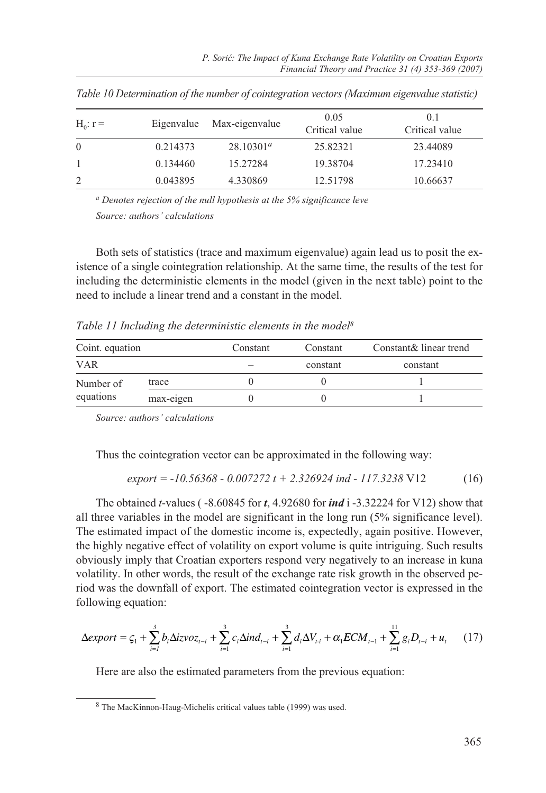| $H_0$ : $r =$ |          | Eigenvalue Max-eigenvalue | 0.05<br>Critical value | 0.1<br>Critical value |
|---------------|----------|---------------------------|------------------------|-----------------------|
| $\theta$      | 0.214373 | $28.10301^a$              | 25.82321               | 23.44089              |
|               | 0.134460 | 15.27284                  | 19.38704               | 17.23410              |
|               | 0.043895 | 4.330869                  | 12.51798               | 10.66637              |

*Table 10 Determination of the number of cointegration vectors (Maximum eigenvalue statistic)*

*a Denotes rejection of the null hypothesis at the 5% significance leve Source: authors' calculations*

Both sets of statistics (trace and maximum eigenvalue) again lead us to posit the existence of a single cointegration relationship. At the same time, the results of the test for including the deterministic elements in the model (given in the next table) point to the need to include a linear trend and a constant in the model.

*Table 11 Including the deterministic elements in the model8*

| Coint. equation |           | Constant | Constant | Constant & linear trend |  |
|-----------------|-----------|----------|----------|-------------------------|--|
| <b>VAR</b>      |           |          | constant | constant                |  |
| Number of       | trace     |          |          |                         |  |
| equations       | max-eigen |          |          |                         |  |

*Source: authors' calculations*

Thus the cointegration vector can be approximated in the following way:

$$
export = -10.56368 - 0.007272 t + 2.326924 \text{ ind} - 117.3238 \text{ V12} \tag{16}
$$

The obtained *t*-values ( -8.60845 for *t*, 4.92680 for *ind* i -3.32224 for V12) show that all three variables in the model are significant in the long run (5% significance level). The estimated impact of the domestic income is, expectedly, again positive. However, the highly negative effect of volatility on export volume is quite intriguing. Such results obviously imply that Croatian exporters respond very negatively to an increase in kuna volatility. In other words, the result of the exchange rate risk growth in the observed period was the downfall of export. The estimated cointegration vector is expressed in the following equation:

$$
\Delta export = \zeta_1 + \sum_{i=1}^{3} b_i \Delta izvoz_{t-i} + \sum_{i=1}^{3} c_i \Delta ind_{t-i} + \sum_{i=1}^{3} d_i \Delta V_{t-i} + \alpha_1 ECM_{t-1} + \sum_{i=1}^{11} g_i D_{t-i} + u_t
$$
 (17)

Here are also the estimated parameters from the previous equation:

<sup>8</sup> The MacKinnon-Haug-Michelis critical values table (1999) was used.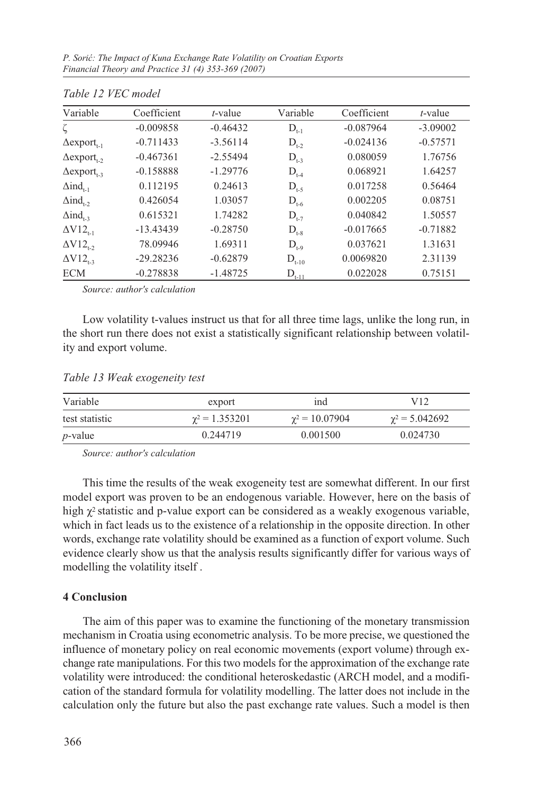*P. Sorić: The Impact of Kuna Exchange Rate Volatility on Croatian Exports Financial Theory and Practice 31 (4) 353-369 (2007)*

| 1000012727                     |             |            |            |             |            |
|--------------------------------|-------------|------------|------------|-------------|------------|
| Variable                       | Coefficient | $t$ -value | Variable   | Coefficient | $t$ -value |
| ζ                              | $-0.009858$ | $-0.46432$ | $D_{t-1}$  | $-0.087964$ | $-3.09002$ |
| $\Delta$ export <sub>t-1</sub> | $-0.711433$ | $-3.56114$ | $D_{t,2}$  | $-0.024136$ | $-0.57571$ |
| $\Delta$ export <sub>t</sub> , | $-0.467361$ | $-2.55494$ | $D_{t-3}$  | 0.080059    | 1.76756    |
| $\Delta$ export <sub>t-3</sub> | $-0.158888$ | $-1.29776$ | $D_{t-4}$  | 0.068921    | 1.64257    |
| $\Delta$ ind <sub>1-1</sub>    | 0.112195    | 0.24613    | $D_{t-5}$  | 0.017258    | 0.56464    |
| $\Delta$ ind <sub>t-2</sub>    | 0.426054    | 1.03057    | $D_{t-6}$  | 0.002205    | 0.08751    |
| $\Delta$ ind <sub>t-3</sub>    | 0.615321    | 1.74282    | $D_{t,7}$  | 0.040842    | 1.50557    |
| $\Delta V12_{t-1}$             | $-13.43439$ | $-0.28750$ | $D_{t-8}$  | $-0.017665$ | $-0.71882$ |
| $\Delta V12_{t-2}$             | 78.09946    | 1.69311    | $D_{t=0}$  | 0.037621    | 1.31631    |
| $\Delta V12_{1.3}$             | $-29.28236$ | $-0.62879$ | $D_{t-10}$ | 0.0069820   | 2.31139    |
| <b>ECM</b>                     | $-0.278838$ | $-1.48725$ | $D_{t-11}$ | 0.022028    | 0.75151    |

|  |  | Table 12 VEC model |
|--|--|--------------------|
|  |  |                    |

*Source: author's calculation*

Low volatility t-values instruct us that for all three time lags, unlike the long run, in the short run there does not exist a statistically significant relationship between volatility and export volume.

*Table 13 Weak exogeneity test*

| Variable       | export                | ind                   | V12                   |
|----------------|-----------------------|-----------------------|-----------------------|
| test statistic | $\gamma^2 = 1.353201$ | $\gamma^2 = 10.07904$ | $\gamma^2 = 5.042692$ |
| $p$ -value     | 0.244719              | 0.001500              | 0.024730              |

*Source: author's calculation*

This time the results of the weak exogeneity test are somewhat different. In our first model export was proven to be an endogenous variable. However, here on the basis of high  $\chi^2$  statistic and p-value export can be considered as a weakly exogenous variable, which in fact leads us to the existence of a relationship in the opposite direction. In other words, exchange rate volatility should be examined as a function of export volume. Such evidence clearly show us that the analysis results significantly differ for various ways of modelling the volatility itself .

#### **4 Conclusion**

The aim of this paper was to examine the functioning of the monetary transmission mechanism in Croatia using econometric analysis. To be more precise, we questioned the influence of monetary policy on real economic movements (export volume) through exchange rate manipulations. For this two models for the approximation of the exchange rate volatility were introduced: the conditional heteroskedastic (ARCH model, and a modification of the standard formula for volatility modelling. The latter does not include in the calculation only the future but also the past exchange rate values. Such a model is then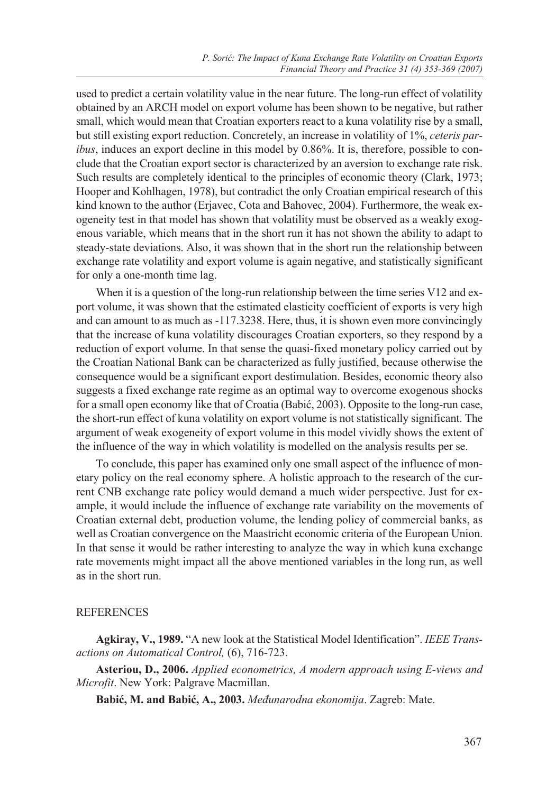used to predict a certain volatility value in the near future. The long-run effect of volatility obtained by an ARCH model on export volume has been shown to be negative, but rather small, which would mean that Croatian exporters react to a kuna volatility rise by a small, but still existing export reduction. Concretely, an increase in volatility of 1%, *ceteris paribus*, induces an export decline in this model by 0.86%. It is, therefore, possible to conclude that the Croatian export sector is characterized by an aversion to exchange rate risk. Such results are completely identical to the principles of economic theory (Clark, 1973; Hooper and Kohlhagen, 1978), but contradict the only Croatian empirical research of this kind known to the author (Erjavec, Cota and Bahovec, 2004). Furthermore, the weak exogeneity test in that model has shown that volatility must be observed as a weakly exogenous variable, which means that in the short run it has not shown the ability to adapt to steady-state deviations. Also, it was shown that in the short run the relationship between exchange rate volatility and export volume is again negative, and statistically significant for only a one-month time lag.

When it is a question of the long-run relationship between the time series V12 and export volume, it was shown that the estimated elasticity coefficient of exports is very high and can amount to as much as -117.3238. Here, thus, it is shown even more convincingly that the increase of kuna volatility discourages Croatian exporters, so they respond by a reduction of export volume. In that sense the quasi-fixed monetary policy carried out by the Croatian National Bank can be characterized as fully justified, because otherwise the consequence would be a significant export destimulation. Besides, economic theory also suggests a fixed exchange rate regime as an optimal way to overcome exogenous shocks for a small open economy like that of Croatia (Babić, 2003). Opposite to the long-run case, the short-run effect of kuna volatility on export volume is not statistically significant. The argument of weak exogeneity of export volume in this model vividly shows the extent of the influence of the way in which volatility is modelled on the analysis results per se.

To conclude, this paper has examined only one small aspect of the influence of monetary policy on the real economy sphere. A holistic approach to the research of the current CNB exchange rate policy would demand a much wider perspective. Just for example, it would include the influence of exchange rate variability on the movements of Croatian external debt, production volume, the lending policy of commercial banks, as well as Croatian convergence on the Maastricht economic criteria of the European Union. In that sense it would be rather interesting to analyze the way in which kuna exchange rate movements might impact all the above mentioned variables in the long run, as well as in the short run.

### REFERENCES

**Agkiray, V., 1989.** "A new look at the Statistical Model Identification". *IEEE Transactions on Automatical Control,* (6), 716-723.

**Asteriou, D., 2006.** *Applied econometrics, A modern approach using E-views and Microfit*. New York: Palgrave Macmillan.

**Babić, M. and Babić, A., 2003.** *Međunarodna ekonomija*. Zagreb: Mate.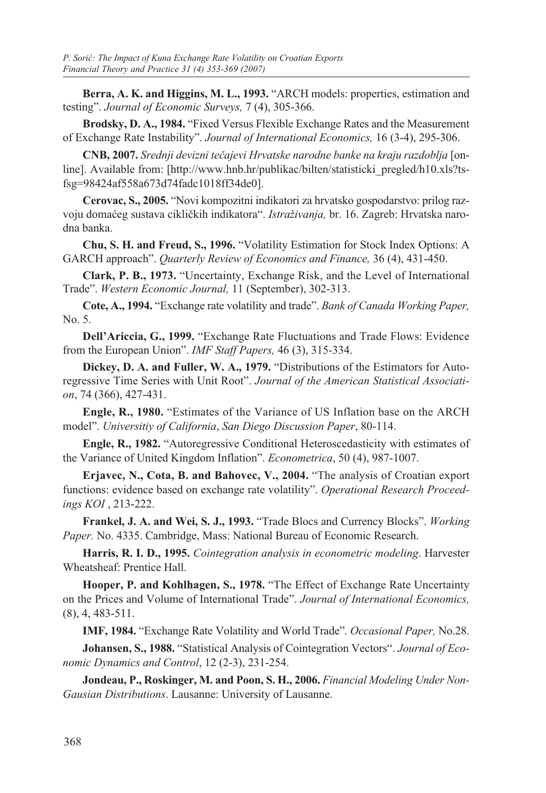**Berra, A. K. and Higgins, M. L., 1993.** "ARCH models: properties, estimation and testing". *Journal of Economic Surveys,* 7 (4), 305-366.

**Brodsky, D. A., 1984.** "Fixed Versus Flexible Exchange Rates and the Measurement of Exchange Rate Instability". *Journal of International Economics,* 16 (3-4), 295-306.

**CNB, 2007.** *Srednji devizni tečajevi Hrvatske narodne banke na kraju razdoblja* [online]. Available from: [http://www.hnb.hr/publikac/bilten/statisticki\_pregled/h10.xls?tsfsg=98424af558a673d74fadc1018ff34de0].

**Cerovac, S., 2005.** "Novi kompozitni indikatori za hrvatsko gospodarstvo: prilog razvoju domaćeg sustava cikličkih indikatora". *Istraživanja,* br. 16. Zagreb: Hrvatska narodna banka.

**Chu, S. H. and Freud, S., 1996.** "Volatility Estimation for Stock Index Options: A GARCH approach". *Quarterly Review of Economics and Finance,* 36 (4), 431-450.

**Clark, P. B., 1973.** "Uncertainty, Exchange Risk, and the Level of International Trade". *Western Economic Journal,* 11 (September), 302-313.

**Cote, A., 1994.** "Exchange rate volatility and trade". *Bank of Canada Working Paper,* No. 5.

**Dell'Ariccia, G., 1999.** "Exchange Rate Fluctuations and Trade Flows: Evidence from the European Union". *IMF Staff Papers,* 46 (3), 315-334.

**Dickey, D. A. and Fuller, W. A., 1979.** "Distributions of the Estimators for Autoregressive Time Series with Unit Root". *Journal of the American Statistical Association*, 74 (366), 427-431.

**Engle, R., 1980.** "Estimates of the Variance of US Inflation base on the ARCH model". *Universitiy of California*, *San Diego Discussion Paper*, 80-114.

**Engle, R., 1982.** "Autoregressive Conditional Heteroscedasticity with estimates of the Variance of United Kingdom Inflation". *Econometrica*, 50 (4), 987-1007.

**Erjavec, N., Cota, B. and Bahovec, V., 2004.** "The analysis of Croatian export functions: evidence based on exchange rate volatility". *Operational Research Proceedings KOI* , 213-222.

**Frankel, J. A. and Wei, S. J., 1993.** "Trade Blocs and Currency Blocks". *Working Paper.* No. 4335. Cambridge, Mass: National Bureau of Economic Research.

**Harris, R. I. D., 1995.** *Cointegration analysis in econometric modeling*. Harvester Wheatsheaf: Prentice Hall.

**Hooper, P. and Kohlhagen, S., 1978.** "The Effect of Exchange Rate Uncertainty on the Prices and Volume of International Trade". *Journal of International Economics,*  (8), 4, 483-511.

**IMF, 1984.** "Exchange Rate Volatility and World Trade". *Occasional Paper,* No.28.

**Johansen, S., 1988.** "Statistical Analysis of Cointegration Vectors". *Journal of Economic Dynamics and Control*, 12 (2-3), 231-254.

**Jondeau, P., Roskinger, M. and Poon, S. H., 2006.** *Financial Modeling Under Non-Gausian Distributions*. Lausanne: University of Lausanne.